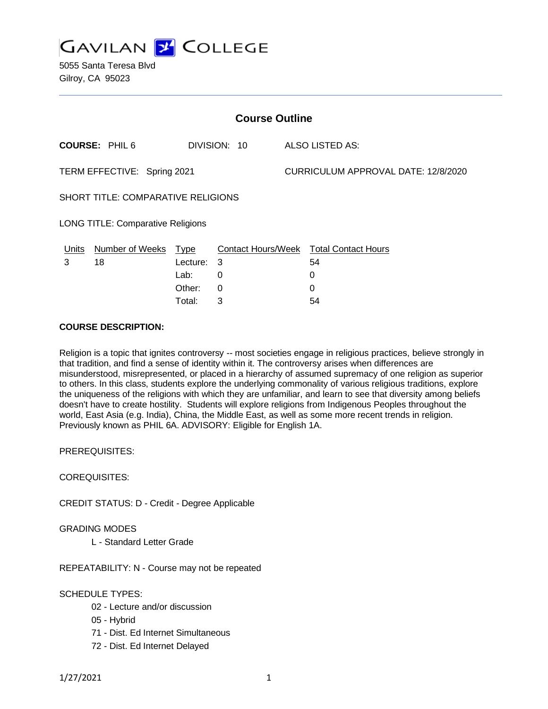

| <b>Course Outline</b>                    |                                      |             |   |                                     |                                        |
|------------------------------------------|--------------------------------------|-------------|---|-------------------------------------|----------------------------------------|
|                                          | <b>COURSE: PHIL6</b><br>DIVISION: 10 |             |   | <b>ALSO LISTED AS:</b>              |                                        |
| TERM EFFECTIVE: Spring 2021              |                                      |             |   | CURRICULUM APPROVAL DATE: 12/8/2020 |                                        |
| SHORT TITLE: COMPARATIVE RELIGIONS       |                                      |             |   |                                     |                                        |
| <b>LONG TITLE: Comparative Religions</b> |                                      |             |   |                                     |                                        |
| Units                                    | <b>Number of Weeks</b>               | <u>Type</u> |   |                                     | Contact Hours/Week Total Contact Hours |
| 3                                        | 18                                   | Lecture: 3  |   |                                     | 54                                     |
|                                          |                                      | Lab:        | 0 |                                     | 0                                      |
|                                          |                                      | Other:      | 0 |                                     | 0                                      |
|                                          |                                      | Total:      | 3 |                                     | 54                                     |

## **COURSE DESCRIPTION:**

Religion is a topic that ignites controversy -- most societies engage in religious practices, believe strongly in that tradition, and find a sense of identity within it. The controversy arises when differences are misunderstood, misrepresented, or placed in a hierarchy of assumed supremacy of one religion as superior to others. In this class, students explore the underlying commonality of various religious traditions, explore the uniqueness of the religions with which they are unfamiliar, and learn to see that diversity among beliefs doesn't have to create hostility. Students will explore religions from Indigenous Peoples throughout the world, East Asia (e.g. India), China, the Middle East, as well as some more recent trends in religion. Previously known as PHIL 6A. ADVISORY: Eligible for English 1A.

PREREQUISITES:

COREQUISITES:

CREDIT STATUS: D - Credit - Degree Applicable

GRADING MODES

L - Standard Letter Grade

REPEATABILITY: N - Course may not be repeated

SCHEDULE TYPES:

- 02 Lecture and/or discussion
- 05 Hybrid
- 71 Dist. Ed Internet Simultaneous
- 72 Dist. Ed Internet Delayed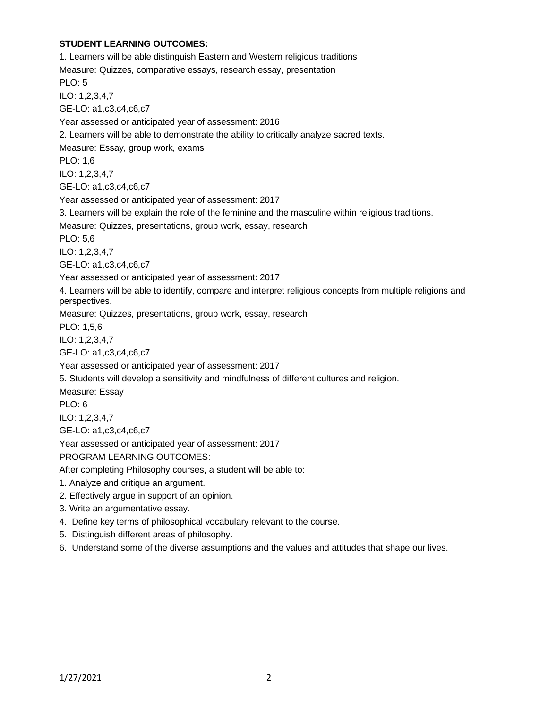# **STUDENT LEARNING OUTCOMES:**

1. Learners will be able distinguish Eastern and Western religious traditions Measure: Quizzes, comparative essays, research essay, presentation PLO: 5 ILO: 1,2,3,4,7 GE-LO: a1,c3,c4,c6,c7 Year assessed or anticipated year of assessment: 2016 2. Learners will be able to demonstrate the ability to critically analyze sacred texts. Measure: Essay, group work, exams PLO: 1,6 ILO: 1,2,3,4,7 GE-LO: a1,c3,c4,c6,c7 Year assessed or anticipated year of assessment: 2017 3. Learners will be explain the role of the feminine and the masculine within religious traditions. Measure: Quizzes, presentations, group work, essay, research PLO: 5,6 ILO: 1,2,3,4,7 GE-LO: a1,c3,c4,c6,c7 Year assessed or anticipated year of assessment: 2017 4. Learners will be able to identify, compare and interpret religious concepts from multiple religions and perspectives. Measure: Quizzes, presentations, group work, essay, research PLO: 1,5,6 ILO: 1,2,3,4,7 GE-LO: a1,c3,c4,c6,c7 Year assessed or anticipated year of assessment: 2017 5. Students will develop a sensitivity and mindfulness of different cultures and religion. Measure: Essay PLO: 6 ILO: 1,2,3,4,7 GE-LO: a1,c3,c4,c6,c7 Year assessed or anticipated year of assessment: 2017 PROGRAM LEARNING OUTCOMES: After completing Philosophy courses, a student will be able to: 1. Analyze and critique an argument. 2. Effectively argue in support of an opinion. 3. Write an argumentative essay. 4. Define key terms of philosophical vocabulary relevant to the course. 5. Distinguish different areas of philosophy. 6. Understand some of the diverse assumptions and the values and attitudes that shape our lives.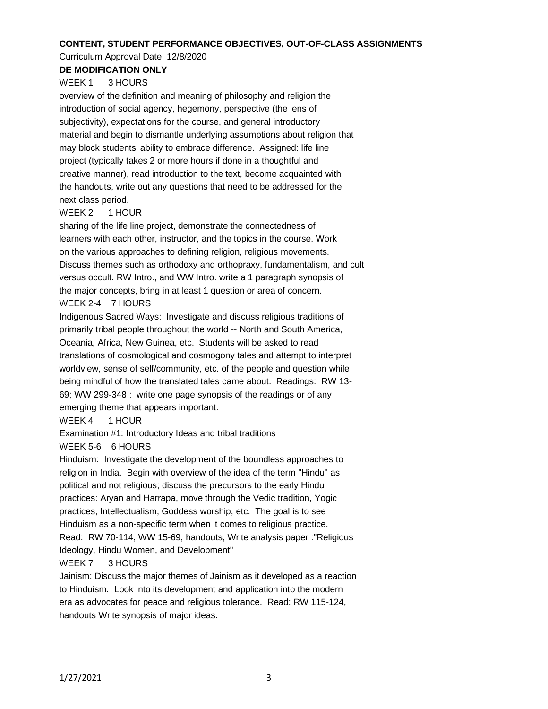#### **CONTENT, STUDENT PERFORMANCE OBJECTIVES, OUT-OF-CLASS ASSIGNMENTS**

#### Curriculum Approval Date: 12/8/2020

# **DE MODIFICATION ONLY**

## WEEK 1 3 HOURS

overview of the definition and meaning of philosophy and religion the introduction of social agency, hegemony, perspective (the lens of subjectivity), expectations for the course, and general introductory material and begin to dismantle underlying assumptions about religion that may block students' ability to embrace difference. Assigned: life line project (typically takes 2 or more hours if done in a thoughtful and creative manner), read introduction to the text, become acquainted with the handouts, write out any questions that need to be addressed for the next class period.

## WEEK 2 1 HOUR

sharing of the life line project, demonstrate the connectedness of learners with each other, instructor, and the topics in the course. Work on the various approaches to defining religion, religious movements. Discuss themes such as orthodoxy and orthopraxy, fundamentalism, and cult versus occult. RW Intro., and WW Intro. write a 1 paragraph synopsis of the major concepts, bring in at least 1 question or area of concern. WEEK 2-4 7 HOURS

Indigenous Sacred Ways: Investigate and discuss religious traditions of primarily tribal people throughout the world -- North and South America, Oceania, Africa, New Guinea, etc. Students will be asked to read translations of cosmological and cosmogony tales and attempt to interpret worldview, sense of self/community, etc. of the people and question while being mindful of how the translated tales came about. Readings: RW 13- 69; WW 299-348 : write one page synopsis of the readings or of any emerging theme that appears important.

## WEEK 4 1 HOUR

Examination #1: Introductory Ideas and tribal traditions

## WEEK 5-6 6 HOURS

Hinduism: Investigate the development of the boundless approaches to religion in India. Begin with overview of the idea of the term "Hindu" as political and not religious; discuss the precursors to the early Hindu practices: Aryan and Harrapa, move through the Vedic tradition, Yogic practices, Intellectualism, Goddess worship, etc. The goal is to see Hinduism as a non-specific term when it comes to religious practice. Read: RW 70-114, WW 15-69, handouts, Write analysis paper :"Religious Ideology, Hindu Women, and Development"

## WEEK 7 3 HOURS

Jainism: Discuss the major themes of Jainism as it developed as a reaction to Hinduism. Look into its development and application into the modern era as advocates for peace and religious tolerance. Read: RW 115-124, handouts Write synopsis of major ideas.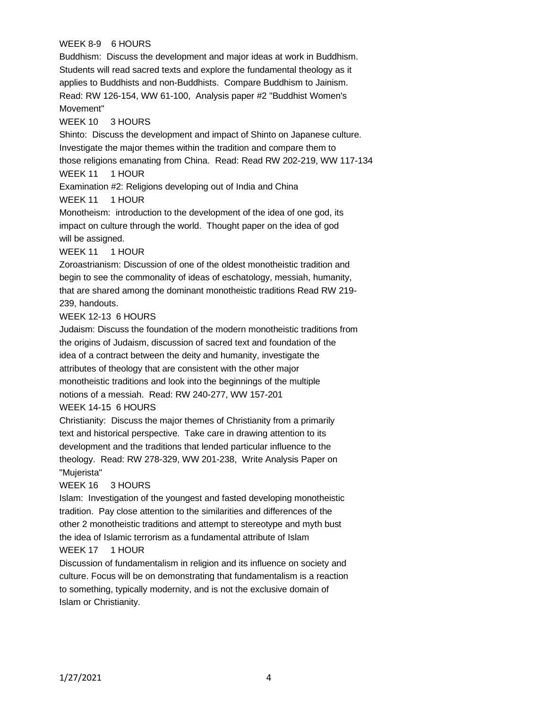# WEEK 8-9 6 HOURS

Buddhism: Discuss the development and major ideas at work in Buddhism. Students will read sacred texts and explore the fundamental theology as it applies to Buddhists and non-Buddhists. Compare Buddhism to Jainism. Read: RW 126-154, WW 61-100, Analysis paper #2 "Buddhist Women's Movement"

# WEEK 10 3 HOURS

Shinto: Discuss the development and impact of Shinto on Japanese culture. Investigate the major themes within the tradition and compare them to those religions emanating from China. Read: Read RW 202-219, WW 117-134 WEEK 11 1 HOUR

Examination #2: Religions developing out of India and China WEEK 11 1 HOUR

Monotheism: introduction to the development of the idea of one god, its impact on culture through the world. Thought paper on the idea of god will be assigned.

# WEEK 11 1 HOUR

Zoroastrianism: Discussion of one of the oldest monotheistic tradition and begin to see the commonality of ideas of eschatology, messiah, humanity, that are shared among the dominant monotheistic traditions Read RW 219- 239, handouts.

# WEEK 12-13 6 HOURS

Judaism: Discuss the foundation of the modern monotheistic traditions from the origins of Judaism, discussion of sacred text and foundation of the idea of a contract between the deity and humanity, investigate the attributes of theology that are consistent with the other major monotheistic traditions and look into the beginnings of the multiple notions of a messiah. Read: RW 240-277, WW 157-201

## WEEK 14-15 6 HOURS

Christianity: Discuss the major themes of Christianity from a primarily text and historical perspective. Take care in drawing attention to its development and the traditions that lended particular influence to the theology. Read: RW 278-329, WW 201-238, Write Analysis Paper on "Mujerista"

## WEEK 16 3 HOURS

Islam: Investigation of the youngest and fasted developing monotheistic tradition. Pay close attention to the similarities and differences of the other 2 monotheistic traditions and attempt to stereotype and myth bust the idea of Islamic terrorism as a fundamental attribute of Islam

## WEEK 17 1 HOUR

Discussion of fundamentalism in religion and its influence on society and culture. Focus will be on demonstrating that fundamentalism is a reaction to something, typically modernity, and is not the exclusive domain of Islam or Christianity.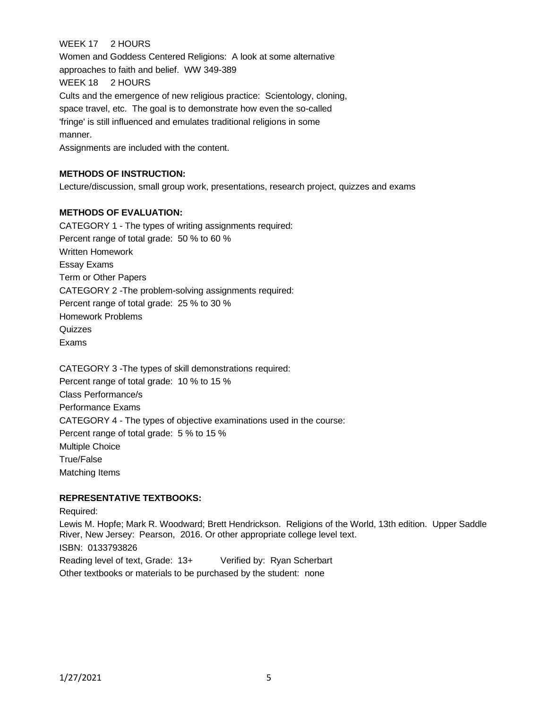# WEEK 17 2 HOURS

Women and Goddess Centered Religions: A look at some alternative approaches to faith and belief. WW 349-389 WEEK 18 2 HOURS Cults and the emergence of new religious practice: Scientology, cloning, space travel, etc. The goal is to demonstrate how even the so-called 'fringe' is still influenced and emulates traditional religions in some manner.

Assignments are included with the content.

## **METHODS OF INSTRUCTION:**

Lecture/discussion, small group work, presentations, research project, quizzes and exams

## **METHODS OF EVALUATION:**

CATEGORY 1 - The types of writing assignments required: Percent range of total grade: 50 % to 60 % Written Homework Essay Exams Term or Other Papers CATEGORY 2 -The problem-solving assignments required: Percent range of total grade: 25 % to 30 % Homework Problems Quizzes Exams

CATEGORY 3 -The types of skill demonstrations required: Percent range of total grade: 10 % to 15 % Class Performance/s Performance Exams CATEGORY 4 - The types of objective examinations used in the course: Percent range of total grade: 5 % to 15 % Multiple Choice True/False Matching Items

#### **REPRESENTATIVE TEXTBOOKS:**

Required:

Lewis M. Hopfe; Mark R. Woodward; Brett Hendrickson. Religions of the World, 13th edition. Upper Saddle River, New Jersey: Pearson, 2016. Or other appropriate college level text. ISBN: 0133793826 Reading level of text, Grade: 13+ Verified by: Ryan Scherbart

Other textbooks or materials to be purchased by the student: none